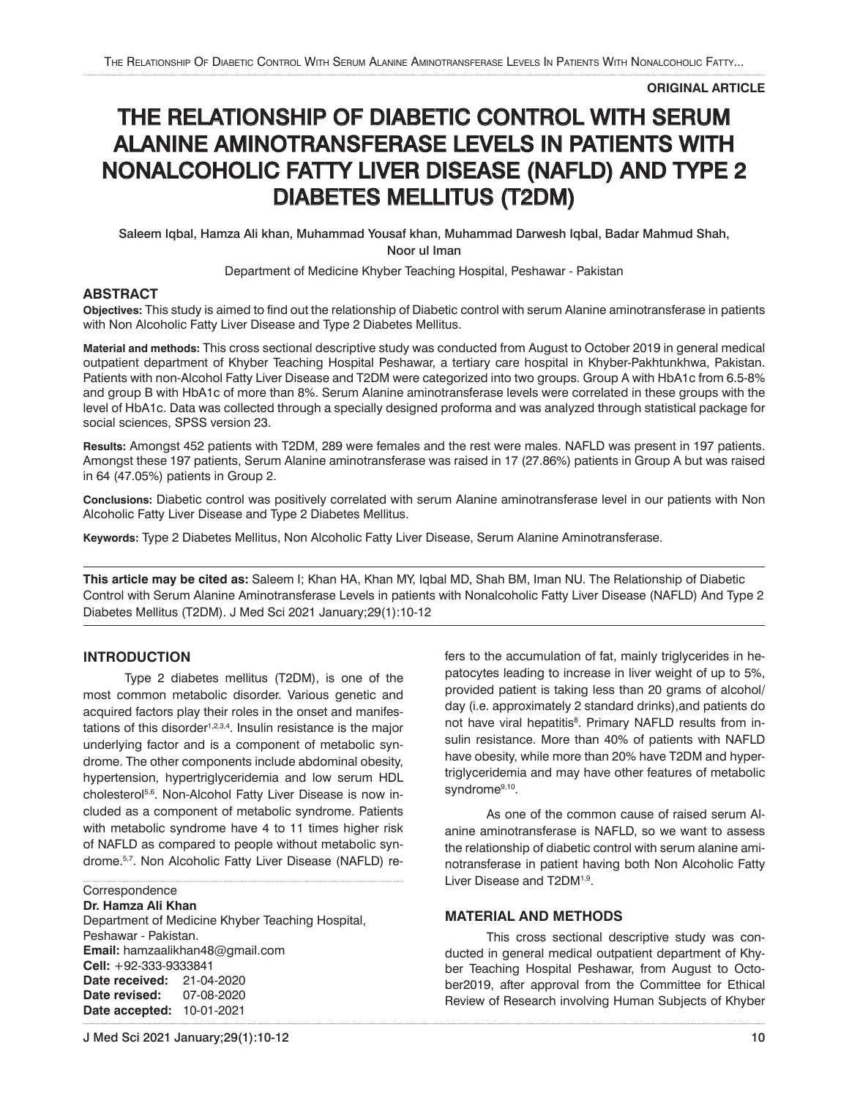**ORIGINAL ARTICLE**

# THE RELATIONSHIP OF DIABETIC CONTROL WITH SERUM ALANINE AMINOTRANSFERASE LEVELS IN PATIENTS WITH NONALCOHOLIC FATTY LIVER DISEASE (NAFLD) AND TYPE 2 DIABETES MELLITUS (T2DM)

Saleem Iqbal, Hamza Ali khan, Muhammad Yousaf khan, Muhammad Darwesh Iqbal, Badar Mahmud Shah, Noor ul Iman

Department of Medicine Khyber Teaching Hospital, Peshawar - Pakistan

## **ABSTRACT**

**Objectives:** This study is aimed to find out the relationship of Diabetic control with serum Alanine aminotransferase in patients with Non Alcoholic Fatty Liver Disease and Type 2 Diabetes Mellitus.

**Material and methods:** This cross sectional descriptive study was conducted from August to October 2019 in general medical outpatient department of Khyber Teaching Hospital Peshawar, a tertiary care hospital in Khyber-Pakhtunkhwa, Pakistan. Patients with non-Alcohol Fatty Liver Disease and T2DM were categorized into two groups. Group A with HbA1c from 6.5-8% and group B with HbA1c of more than 8%. Serum Alanine aminotransferase levels were correlated in these groups with the level of HbA1c. Data was collected through a specially designed proforma and was analyzed through statistical package for social sciences, SPSS version 23.

**Results:** Amongst 452 patients with T2DM, 289 were females and the rest were males. NAFLD was present in 197 patients. Amongst these 197 patients, Serum Alanine aminotransferase was raised in 17 (27.86%) patients in Group A but was raised in 64 (47.05%) patients in Group 2.

**Conclusions:** Diabetic control was positively correlated with serum Alanine aminotransferase level in our patients with Non Alcoholic Fatty Liver Disease and Type 2 Diabetes Mellitus.

**Keywords:** Type 2 Diabetes Mellitus, Non Alcoholic Fatty Liver Disease, Serum Alanine Aminotransferase.

**This article may be cited as:** Saleem I; Khan HA, Khan MY, Iqbal MD, Shah BM, Iman NU. The Relationship of Diabetic Control with Serum Alanine Aminotransferase Levels in patients with Nonalcoholic Fatty Liver Disease (NAFLD) And Type 2 Diabetes Mellitus (T2DM). J Med Sci 2021 January;29(1):10-12

# **INTRODUCTION**

Type 2 diabetes mellitus (T2DM), is one of the most common metabolic disorder. Various genetic and acquired factors play their roles in the onset and manifestations of this disorder<sup>1,2,3,4</sup>. Insulin resistance is the major underlying factor and is a component of metabolic syndrome. The other components include abdominal obesity, hypertension, hypertriglyceridemia and low serum HDL cholesterol<sup>5,6</sup>. Non-Alcohol Fatty Liver Disease is now included as a component of metabolic syndrome. Patients with metabolic syndrome have 4 to 11 times higher risk of NAFLD as compared to people without metabolic syndrome.5,7. Non Alcoholic Fatty Liver Disease (NAFLD) re-

**Correspondence** 

## **Dr. Hamza Ali Khan**

Department of Medicine Khyber Teaching Hospital, Peshawar - Pakistan. **Email:** hamzaalikhan48@gmail.com **Cell:** +92-333-9333841 **Date received:** 21-04-2020 **Date revised:** 07-08-2020 **Date accepted:** 10-01-2021

fers to the accumulation of fat, mainly triglycerides in hepatocytes leading to increase in liver weight of up to 5%, provided patient is taking less than 20 grams of alcohol/ day (i.e. approximately 2 standard drinks),and patients do not have viral hepatitis<sup>8</sup>. Primary NAFLD results from insulin resistance. More than 40% of patients with NAFLD have obesity, while more than 20% have T2DM and hypertriglyceridemia and may have other features of metabolic syndrome<sup>9,10</sup>.

As one of the common cause of raised serum Alanine aminotransferase is NAFLD, so we want to assess the relationship of diabetic control with serum alanine aminotransferase in patient having both Non Alcoholic Fatty Liver Disease and T2DM<sup>1,9</sup>.

## **MATERIAL AND METHODS**

This cross sectional descriptive study was conducted in general medical outpatient department of Khyber Teaching Hospital Peshawar, from August to October2019, after approval from the Committee for Ethical Review of Research involving Human Subjects of Khyber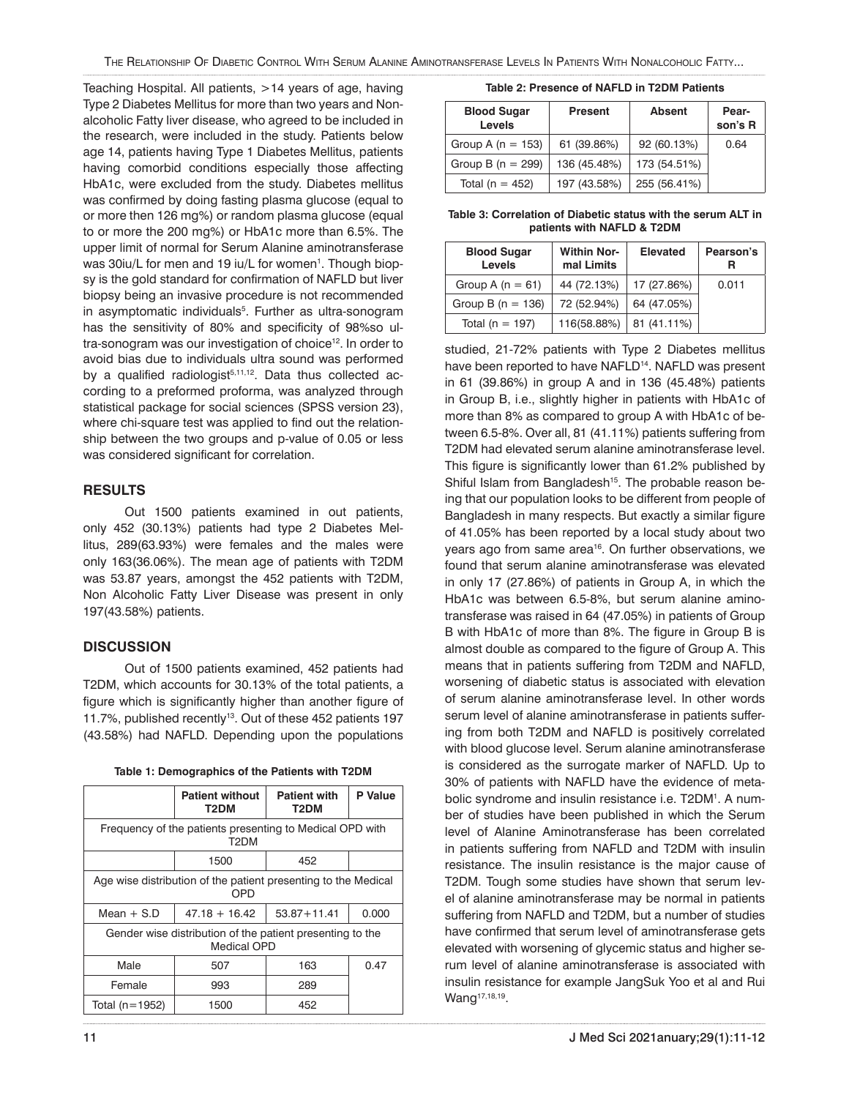Teaching Hospital. All patients, >14 years of age, having Type 2 Diabetes Mellitus for more than two years and Nonalcoholic Fatty liver disease, who agreed to be included in the research, were included in the study. Patients below age 14, patients having Type 1 Diabetes Mellitus, patients having comorbid conditions especially those affecting HbA1c, were excluded from the study. Diabetes mellitus was confirmed by doing fasting plasma glucose (equal to or more then 126 mg%) or random plasma glucose (equal to or more the 200 mg%) or HbA1c more than 6.5%. The upper limit of normal for Serum Alanine aminotransferase was 30iu/L for men and 19 iu/L for women<sup>1</sup>. Though biopsy is the gold standard for confirmation of NAFLD but liver biopsy being an invasive procedure is not recommended in asymptomatic individuals<sup>5</sup>. Further as ultra-sonogram has the sensitivity of 80% and specificity of 98%so ultra-sonogram was our investigation of choice<sup>12</sup>. In order to avoid bias due to individuals ultra sound was performed by a qualified radiologist $5,11,12$ . Data thus collected according to a preformed proforma, was analyzed through statistical package for social sciences (SPSS version 23), where chi-square test was applied to find out the relationship between the two groups and p-value of 0.05 or less was considered significant for correlation.

## **RESULTS**

Out 1500 patients examined in out patients, only 452 (30.13%) patients had type 2 Diabetes Mellitus, 289(63.93%) were females and the males were only 163(36.06%). The mean age of patients with T2DM was 53.87 years, amongst the 452 patients with T2DM, Non Alcoholic Fatty Liver Disease was present in only 197(43.58%) patients.

## **DISCUSSION**

Out of 1500 patients examined, 452 patients had T2DM, which accounts for 30.13% of the total patients, a figure which is significantly higher than another figure of 11.7%, published recently<sup>13</sup>. Out of these 452 patients 197 (43.58%) had NAFLD. Depending upon the populations

| Table 1: Demographics of the Patients with T2DM |  |  |
|-------------------------------------------------|--|--|
|                                                 |  |  |

|                                                                          | <b>Patient without</b><br>T2DM | <b>Patient with</b><br>T2DM | P Value |
|--------------------------------------------------------------------------|--------------------------------|-----------------------------|---------|
| Frequency of the patients presenting to Medical OPD with<br>T2DM         |                                |                             |         |
|                                                                          | 1500                           | 452                         |         |
| Age wise distribution of the patient presenting to the Medical<br>OPD    |                                |                             |         |
| Mean $+$ S.D                                                             | $47.18 + 16.42$                | $53.87 + 11.41$             | 0.000   |
| Gender wise distribution of the patient presenting to the<br>Medical OPD |                                |                             |         |
| Male                                                                     | 507                            | 163                         | 0.47    |
| Female                                                                   | 993                            | 289                         |         |
| Total (n=1952)                                                           | 1500                           | 452                         |         |

#### **Table 2: Presence of NAFLD in T2DM Patients**

| <b>Blood Sugar</b><br>Levels | <b>Present</b> | <b>Absent</b> | Pear-<br>son's R |
|------------------------------|----------------|---------------|------------------|
| Group A ( $n = 153$ )        | 61 (39.86%)    | 92 (60.13%)   | 0.64             |
| Group B ( $n = 299$ )        | 136 (45.48%)   | 173 (54.51%)  |                  |
| Total ( $n = 452$ )          | 197 (43.58%)   | 255 (56.41%)  |                  |

**Table 3: Correlation of Diabetic status with the serum ALT in patients with NAFLD & T2DM**

| <b>Blood Sugar</b><br><b>Levels</b> | <b>Within Nor-</b><br>mal Limits | <b>Elevated</b> | Pearson's |
|-------------------------------------|----------------------------------|-----------------|-----------|
| Group A $(n = 61)$                  | 44 (72.13%)                      | 17 (27.86%)     | 0.011     |
| Group B ( $n = 136$ )               | 72 (52.94%)                      | 64 (47.05%)     |           |
| Total ( $n = 197$ )                 | 116(58.88%)                      | 81 (41.11%)     |           |

studied, 21-72% patients with Type 2 Diabetes mellitus have been reported to have NAFLD<sup>14</sup>. NAFLD was present in 61 (39.86%) in group A and in 136 (45.48%) patients in Group B, i.e., slightly higher in patients with HbA1c of more than 8% as compared to group A with HbA1c of between 6.5-8%. Over all, 81 (41.11%) patients suffering from T2DM had elevated serum alanine aminotransferase level. This figure is significantly lower than 61.2% published by Shiful Islam from Bangladesh<sup>15</sup>. The probable reason being that our population looks to be different from people of Bangladesh in many respects. But exactly a similar figure of 41.05% has been reported by a local study about two years ago from same area<sup>16</sup>. On further observations, we found that serum alanine aminotransferase was elevated in only 17 (27.86%) of patients in Group A, in which the HbA1c was between 6.5-8%, but serum alanine aminotransferase was raised in 64 (47.05%) in patients of Group B with HbA1c of more than 8%. The figure in Group B is almost double as compared to the figure of Group A. This means that in patients suffering from T2DM and NAFLD, worsening of diabetic status is associated with elevation of serum alanine aminotransferase level. In other words serum level of alanine aminotransferase in patients suffering from both T2DM and NAFLD is positively correlated with blood glucose level. Serum alanine aminotransferase is considered as the surrogate marker of NAFLD. Up to 30% of patients with NAFLD have the evidence of metabolic syndrome and insulin resistance i.e. T2DM<sup>1</sup>. A number of studies have been published in which the Serum level of Alanine Aminotransferase has been correlated in patients suffering from NAFLD and T2DM with insulin resistance. The insulin resistance is the major cause of T2DM. Tough some studies have shown that serum level of alanine aminotransferase may be normal in patients suffering from NAFLD and T2DM, but a number of studies have confirmed that serum level of aminotransferase gets elevated with worsening of glycemic status and higher serum level of alanine aminotransferase is associated with insulin resistance for example JangSuk Yoo et al and Rui Wang<sup>17,18,19</sup>.